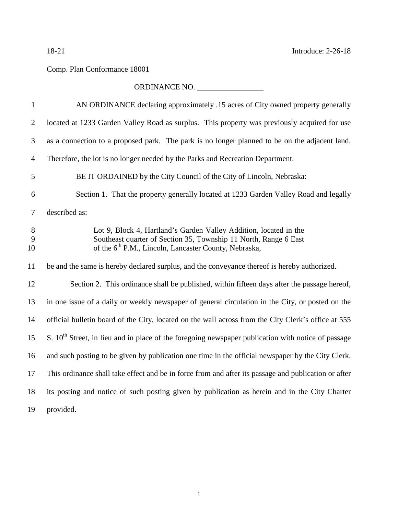## Comp. Plan Conformance 18001

## ORDINANCE NO. \_\_\_\_\_\_\_\_\_\_\_\_\_\_\_\_\_

| $\mathbf{1}$   | AN ORDINANCE declaring approximately .15 acres of City owned property generally                                                                                                                            |
|----------------|------------------------------------------------------------------------------------------------------------------------------------------------------------------------------------------------------------|
| $\overline{2}$ | located at 1233 Garden Valley Road as surplus. This property was previously acquired for use                                                                                                               |
| 3              | as a connection to a proposed park. The park is no longer planned to be on the adjacent land.                                                                                                              |
| $\overline{4}$ | Therefore, the lot is no longer needed by the Parks and Recreation Department.                                                                                                                             |
| 5              | BE IT ORDAINED by the City Council of the City of Lincoln, Nebraska:                                                                                                                                       |
| 6              | Section 1. That the property generally located at 1233 Garden Valley Road and legally                                                                                                                      |
| 7              | described as:                                                                                                                                                                                              |
| 8<br>9<br>10   | Lot 9, Block 4, Hartland's Garden Valley Addition, located in the<br>Southeast quarter of Section 35, Township 11 North, Range 6 East<br>of the 6 <sup>th</sup> P.M., Lincoln, Lancaster County, Nebraska, |
| 11             | be and the same is hereby declared surplus, and the conveyance thereof is hereby authorized.                                                                                                               |
| 12             | Section 2. This ordinance shall be published, within fifteen days after the passage hereof,                                                                                                                |
| 13             | in one issue of a daily or weekly newspaper of general circulation in the City, or posted on the                                                                                                           |
| 14             | official bulletin board of the City, located on the wall across from the City Clerk's office at 555                                                                                                        |
| 15             | S. $10th$ Street, in lieu and in place of the foregoing newspaper publication with notice of passage                                                                                                       |
| 16             | and such posting to be given by publication one time in the official newspaper by the City Clerk.                                                                                                          |
| 17             | This ordinance shall take effect and be in force from and after its passage and publication or after                                                                                                       |
| 18             | its posting and notice of such posting given by publication as herein and in the City Charter                                                                                                              |
| 19             | provided.                                                                                                                                                                                                  |